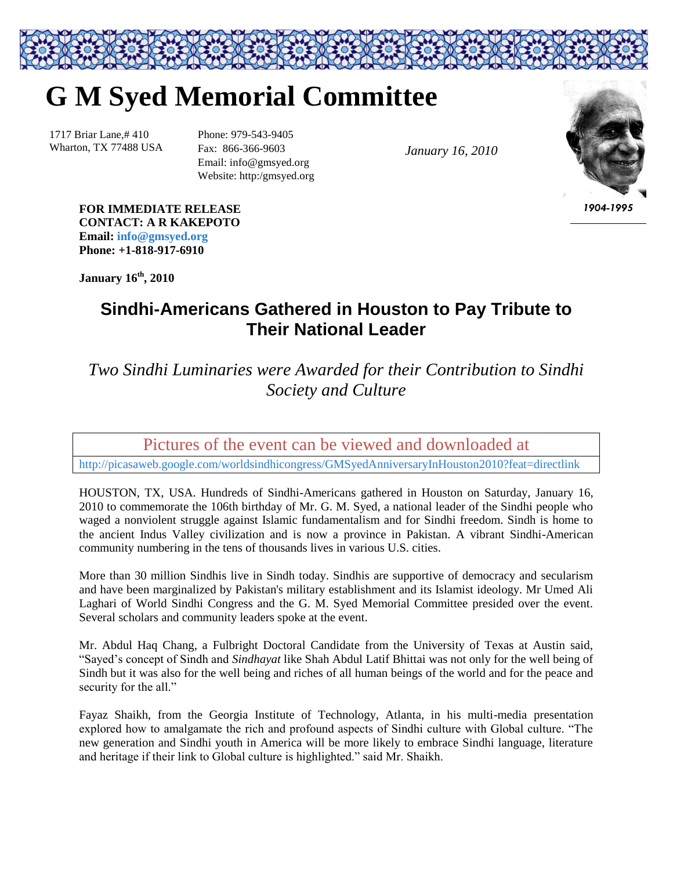## **G M Syed Memorial Committee**

1717 Briar Lane,# 410 Wharton, TX 77488 USA Phone: 979-543-9405 Fax: 866-366-9603 Email: info@gmsyed.org Website: http:/gmsyed.org

*January 16, 2010*



*1904-1995*

**FOR IMMEDIATE RELEASE CONTACT: A R KAKEPOTO Email: [info@gmsyed.org](mailto:info@gmsyed.org) Phone: +1-818-917-6910**

**January 16 th, 2010**

## **Sindhi-Americans Gathered in Houston to Pay Tribute to Their National Leader**

*Two Sindhi Luminaries were Awarded for their Contribution to Sindhi Society and Culture*

Pictures of the event can be viewed and downloaded at

<http://picasaweb.google.com/worldsindhicongress/GMSyedAnniversaryInHouston2010?feat=directlink>

HOUSTON, TX, USA. Hundreds of Sindhi-Americans gathered in Houston on Saturday, January 16, 2010 to commemorate the 106th birthday of Mr. G. M. Syed, a national leader of the Sindhi people who waged a nonviolent struggle against Islamic fundamentalism and for Sindhi freedom. Sindh is home to the ancient Indus Valley civilization and is now a province in Pakistan. A vibrant Sindhi-American community numbering in the tens of thousands lives in various U.S. cities.

More than 30 million Sindhis live in Sindh today. Sindhis are supportive of democracy and secularism and have been marginalized by Pakistan's military establishment and its Islamist ideology. Mr Umed Ali Laghari of World Sindhi Congress and the G. M. Syed Memorial Committee presided over the event. Several scholars and community leaders spoke at the event.

Mr. Abdul Haq Chang, a Fulbright Doctoral Candidate from the University of Texas at Austin said, "Sayed's concept of Sindh and *Sindhayat* like Shah Abdul Latif Bhittai was not only for the well being of Sindh but it was also for the well being and riches of all human beings of the world and for the peace and security for the all."

Fayaz Shaikh, from the Georgia Institute of Technology, Atlanta, in his multi-media presentation explored how to amalgamate the rich and profound aspects of Sindhi culture with Global culture. "The new generation and Sindhi youth in America will be more likely to embrace Sindhi language, literature and heritage if their link to Global culture is highlighted." said Mr. Shaikh.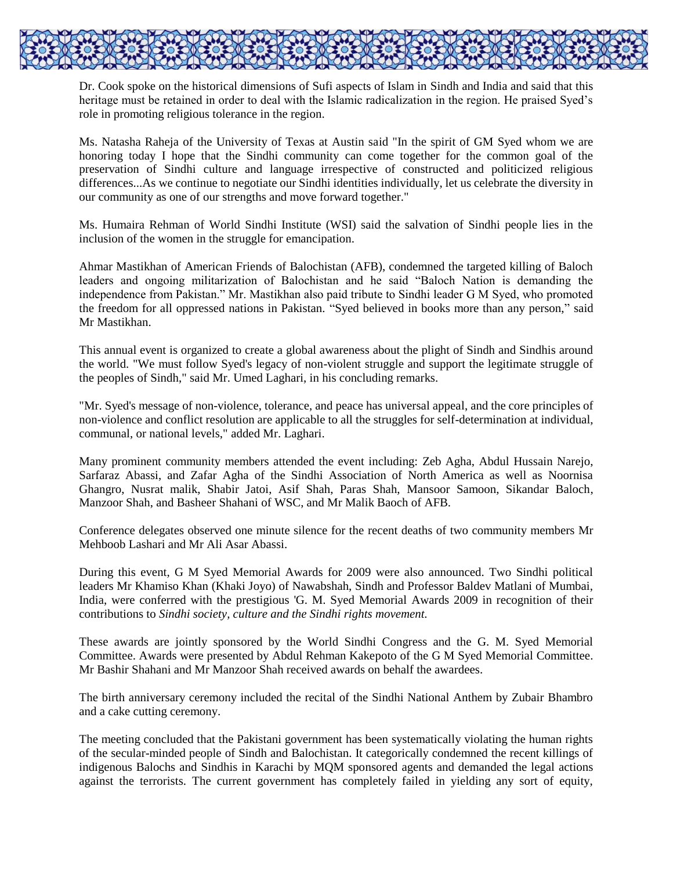

Dr. Cook spoke on the historical dimensions of Sufi aspects of Islam in Sindh and India and said that this heritage must be retained in order to deal with the Islamic radicalization in the region. He praised Syed's role in promoting religious tolerance in the region.

Ms. Natasha Raheja of the University of Texas at Austin said "In the spirit of GM Syed whom we are honoring today I hope that the Sindhi community can come together for the common goal of the preservation of Sindhi culture and language irrespective of constructed and politicized religious differences...As we continue to negotiate our Sindhi identities individually, let us celebrate the diversity in our community as one of our strengths and move forward together."

Ms. Humaira Rehman of World Sindhi Institute (WSI) said the salvation of Sindhi people lies in the inclusion of the women in the struggle for emancipation.

Ahmar Mastikhan of American Friends of Balochistan (AFB), condemned the targeted killing of Baloch leaders and ongoing militarization of Balochistan and he said "Baloch Nation is demanding the independence from Pakistan." Mr. Mastikhan also paid tribute to Sindhi leader G M Syed, who promoted the freedom for all oppressed nations in Pakistan. "Syed believed in books more than any person," said Mr Mastikhan.

This annual event is organized to create a global awareness about the plight of Sindh and Sindhis around the world. "We must follow Syed's legacy of non-violent struggle and support the legitimate struggle of the peoples of Sindh," said Mr. Umed Laghari, in his concluding remarks.

"Mr. Syed's message of non-violence, tolerance, and peace has universal appeal, and the core principles of non-violence and conflict resolution are applicable to all the struggles for self-determination at individual, communal, or national levels," added Mr. Laghari.

Many prominent community members attended the event including: Zeb Agha, Abdul Hussain Narejo, Sarfaraz Abassi, and Zafar Agha of the Sindhi Association of North America as well as Noornisa Ghangro, Nusrat malik, Shabir Jatoi, Asif Shah, Paras Shah, Mansoor Samoon, Sikandar Baloch, Manzoor Shah, and Basheer Shahani of WSC, and Mr Malik Baoch of AFB.

Conference delegates observed one minute silence for the recent deaths of two community members Mr Mehboob Lashari and Mr Ali Asar Abassi.

During this event, G M Syed Memorial Awards for 2009 were also announced. Two Sindhi political leaders Mr Khamiso Khan (Khaki Joyo) of Nawabshah, Sindh and Professor Baldev Matlani of Mumbai, India, were conferred with the prestigious 'G. M. Syed Memorial Awards 2009 in recognition of their contributions to *Sindhi society, culture and the Sindhi rights movement.*

These awards are jointly sponsored by the World Sindhi Congress and the G. M. Syed Memorial Committee. Awards were presented by Abdul Rehman Kakepoto of the G M Syed Memorial Committee. Mr Bashir Shahani and Mr Manzoor Shah received awards on behalf the awardees.

The birth anniversary ceremony included the recital of the Sindhi National Anthem by Zubair Bhambro and a cake cutting ceremony.

The meeting concluded that the Pakistani government has been systematically violating the human rights of the secular-minded people of Sindh and Balochistan. It categorically condemned the recent killings of indigenous Balochs and Sindhis in Karachi by MQM sponsored agents and demanded the legal actions against the terrorists. The current government has completely failed in yielding any sort of equity,